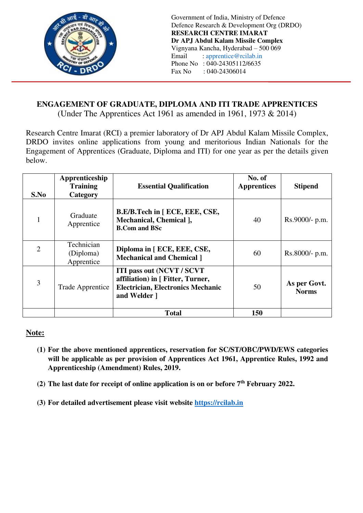

Government of India, Ministry of Defence Defence Research & Development Org (DRDO) **RESEARCH CENTRE IMARAT Dr APJ Abdul Kalam Missile Complex**  Vignyana Kancha, Hyderabad – 500 069 Email : [apprentice@rcilab.in](mailto:apprentice@rcilab.in) Phone No : 040-24305112/6635<br>Fax No : 040-24306014  $: 040 - 24306014$ 

# **ENGAGEMENT OF GRADUATE, DIPLOMA AND ITI TRADE APPRENTICES**

(Under The Apprentices Act 1961 as amended in 1961, 1973 & 2014)

Research Centre Imarat (RCI) a premier laboratory of Dr APJ Abdul Kalam Missile Complex, DRDO invites online applications from young and meritorious Indian Nationals for the Engagement of Apprentices (Graduate, Diploma and ITI) for one year as per the details given below.

| S.No                        | Apprenticeship<br><b>Training</b><br>Category | <b>Essential Qualification</b>                                                                                                     | No. of<br><b>Apprentices</b> | <b>Stipend</b>               |
|-----------------------------|-----------------------------------------------|------------------------------------------------------------------------------------------------------------------------------------|------------------------------|------------------------------|
|                             | Graduate<br>Apprentice                        | B.E/B.Tech in [ ECE, EEE, CSE,<br>Mechanical, Chemical ],<br><b>B.Com and BSc</b>                                                  | 40                           | Rs.9000/- p.m.               |
| $\mathcal{D}_{\mathcal{A}}$ | Technician<br>(Diploma)<br>Apprentice         | Diploma in [ ECE, EEE, CSE,<br><b>Mechanical and Chemical 1</b>                                                                    | 60                           | $Rs.8000/- p.m.$             |
| 3                           | Trade Apprentice                              | <b>ITI pass out (NCVT / SCVT)</b><br>affiliation) in [ Fitter, Turner,<br><b>Electrician, Electronics Mechanic</b><br>and Welder ] | 50                           | As per Govt.<br><b>Norms</b> |
|                             |                                               | <b>Total</b>                                                                                                                       | 150                          |                              |

## **Note:**

- **(1) For the above mentioned apprentices, reservation for SC/ST/OBC/PWD/EWS categories will be applicable as per provision of Apprentices Act 1961, Apprentice Rules, 1992 and Apprenticeship (Amendment) Rules, 2019.**
- **(2) The last date for receipt of online application is on or before 7th February 2022.**
- **(3) For detailed advertisement please visit website [https://rcilab.in](https://rcilab.in/)**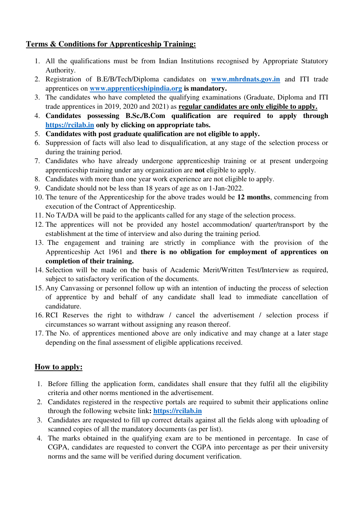## **Terms & Conditions for Apprenticeship Training:**

- 1. All the qualifications must be from Indian Institutions recognised by Appropriate Statutory Authority.
- 2. Registration of B.E/B/Tech/Diploma candidates on **[www.mhrdnats.gov.in](http://www.mhrdnats.gov.in/)** and ITI trade apprentices on **[www.apprenticeshipindia.org](http://www.apprenticeshipindia.org/) is mandatory.**
- 3. The candidates who have completed the qualifying examinations (Graduate, Diploma and ITI trade apprentices in 2019, 2020 and 2021) as **regular candidates are only eligible to apply.**
- 4. **Candidates possessing B.Sc./B.Com qualification are required to apply through [https://rcilab.in](https://rcilab.in/) only by clicking on appropriate tabs.**
- 5. **Candidates with post graduate qualification are not eligible to apply.**
- 6. Suppression of facts will also lead to disqualification, at any stage of the selection process or during the training period.
- 7. Candidates who have already undergone apprenticeship training or at present undergoing apprenticeship training under any organization are **not** eligible to apply.
- 8. Candidates with more than one year work experience are not eligible to apply.
- 9. Candidate should not be less than 18 years of age as on 1-Jan-2022.
- 10. The tenure of the Apprenticeship for the above trades would be **12 months**, commencing from execution of the Contract of Apprenticeship.
- 11. No TA/DA will be paid to the applicants called for any stage of the selection process.
- 12. The apprentices will not be provided any hostel accommodation/ quarter/transport by the establishment at the time of interview and also during the training period.
- 13. The engagement and training are strictly in compliance with the provision of the Apprenticeship Act 1961 and **there is no obligation for employment of apprentices on completion of their training.**
- 14. Selection will be made on the basis of Academic Merit/Written Test/Interview as required, subject to satisfactory verification of the documents.
- 15. Any Canvassing or personnel follow up with an intention of inducting the process of selection of apprentice by and behalf of any candidate shall lead to immediate cancellation of candidature.
- 16. RCI Reserves the right to withdraw / cancel the advertisement / selection process if circumstances so warrant without assigning any reason thereof.
- 17. The No. of apprentices mentioned above are only indicative and may change at a later stage depending on the final assessment of eligible applications received.

## **How to apply:**

- 1. Before filling the application form, candidates shall ensure that they fulfil all the eligibility criteria and other norms mentioned in the advertisement.
- 2. Candidates registered in the respective portals are required to submit their applications online through the following website link**: [https://rcilab.in](https://rcilab.in/)**
- 3. Candidates are requested to fill up correct details against all the fields along with uploading of scanned copies of all the mandatory documents (as per list).
- 4. The marks obtained in the qualifying exam are to be mentioned in percentage. In case of CGPA, candidates are requested to convert the CGPA into percentage as per their university norms and the same will be verified during document verification.